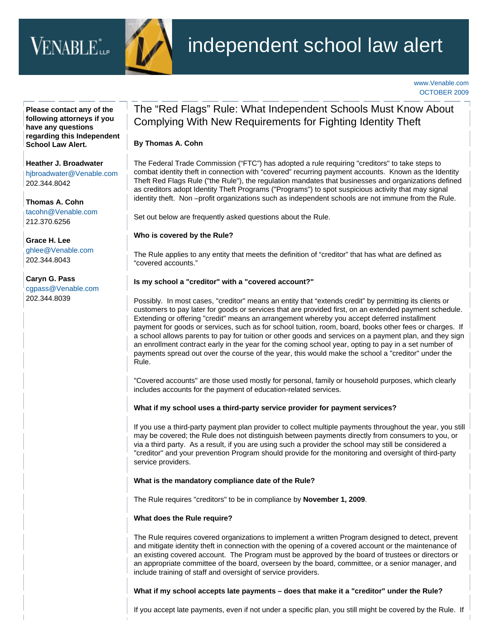# VENABLE<sup>\*</sup>...



## independent school law alert

[www.Venable.com](http://www.venable.com/) OCTOBER 2009

**Please contact any of the following attorneys if you have any questions regarding this Independent School Law Alert.**

**[Heather J. Broadwater](http://www.venable.com/heather-j-broadwater/)** [hjbroadwater@Venable.com](mailto:hjbroadwater@venable.com) 202.344.8042

**[Thomas A. Cohn](http://www.venable.com/thomas-a-cohn/)** [tacohn@Venable.com](mailto:tacohn@Venable.com) 212.370.6256

**[Grace H. Lee](http://www.venable.com/grace-h-lee/)** [ghlee@Venable.com](mailto:ghlee@venable.com) 202.344.8043

**[Caryn G. Pass](http://www.venable.com/caryn-g-pass/)** [cgpass@Venable.com](mailto:cgpass@venable.com) 202.344.8039

### The "Red Flags" Rule: What Independent Schools Must Know About Complying With New Requirements for Fighting Identity Theft

#### **By [Thomas A. Cohn](http://www.venable.com/thomas-a-cohn/)**

The Federal Trade Commission ("FTC") has adopted a rule requiring "creditors" to take steps to combat identity theft in connection with "covered" recurring payment accounts. Known as the Identity Theft Red Flags Rule ("the Rule"), the regulation mandates that businesses and organizations defined as creditors adopt Identity Theft Programs ("Programs") to spot suspicious activity that may signal identity theft. Non –profit organizations such as independent schools are not immune from the Rule.

Set out below are frequently asked questions about the Rule.

#### **Who is covered by the Rule?**

The Rule applies to any entity that meets the definition of "creditor" that has what are defined as "covered accounts."

#### **Is my school a "creditor" with a "covered account?"**

Possibly. In most cases, "creditor" means an entity that "extends credit" by permitting its clients or customers to pay later for goods or services that are provided first, on an extended payment schedule. Extending or offering "credit" means an arrangement whereby you accept deferred installment payment for goods or services, such as for school tuition, room, board, books other fees or charges. If a school allows parents to pay for tuition or other goods and services on a payment plan, and they sign an enrollment contract early in the year for the coming school year, opting to pay in a set number of payments spread out over the course of the year, this would make the school a "creditor" under the Rule.

"Covered accounts" are those used mostly for personal, family or household purposes, which clearly includes accounts for the payment of education-related services.

#### **What if my school uses a third-party service provider for payment services?**

If you use a third-party payment plan provider to collect multiple payments throughout the year, you still may be covered; the Rule does not distinguish between payments directly from consumers to you, or via a third party. As a result, if you are using such a provider the school may still be considered a "creditor" and your prevention Program should provide for the monitoring and oversight of third-party service providers.

#### **What is the mandatory compliance date of the Rule?**

The Rule requires "creditors" to be in compliance by **November 1, 2009**.

#### **What does the Rule require?**

The Rule requires covered organizations to implement a written Program designed to detect, prevent and mitigate identity theft in connection with the opening of a covered account or the maintenance of an existing covered account. The Program must be approved by the board of trustees or directors or an appropriate committee of the board, overseen by the board, committee, or a senior manager, and include training of staff and oversight of service providers.

#### **What if my school accepts late payments – does that make it a "creditor" under the Rule?**

If you accept late payments, even if not under a specific plan, you still might be covered by the Rule. If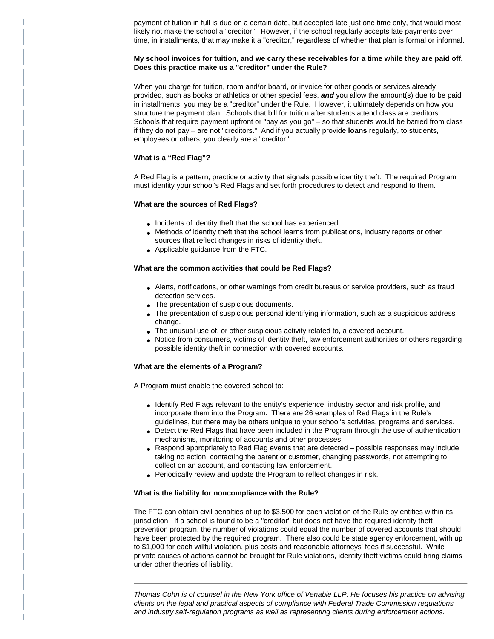payment of tuition in full is due on a certain date, but accepted late just one time only, that would most likely not make the school a "creditor." However, if the school regularly accepts late payments over time, in installments, that may make it a "creditor," regardless of whether that plan is formal or informal.

#### **My school invoices for tuition, and we carry these receivables for a time while they are paid off. Does this practice make us a "creditor" under the Rule?**

When you charge for tuition, room and/or board, or invoice for other goods or services already provided, such as books or athletics or other special fees, *and* you allow the amount(s) due to be paid in installments, you may be a "creditor" under the Rule. However, it ultimately depends on how you structure the payment plan. Schools that bill for tuition after students attend class are creditors. Schools that require payment upfront or "pay as you go" – so that students would be barred from class if they do not pay – are not "creditors." And if you actually provide **loans** regularly, to students, employees or others, you clearly are a "creditor."

#### **What is a "Red Flag"?**

A Red Flag is a pattern, practice or activity that signals possible identity theft. The required Program must identity your school's Red Flags and set forth procedures to detect and respond to them.

#### **What are the sources of Red Flags?**

- Incidents of identity theft that the school has experienced.
- Methods of identity theft that the school learns from publications, industry reports or other sources that reflect changes in risks of identity theft.
- Applicable guidance from the FTC.

#### **What are the common activities that could be Red Flags?**

- Alerts, notifications, or other warnings from credit bureaus or service providers, such as fraud detection services.
- The presentation of suspicious documents.
- The presentation of suspicious personal identifying information, such as a suspicious address change.
- The unusual use of, or other suspicious activity related to, a covered account.
- Notice from consumers, victims of identity theft, law enforcement authorities or others regarding possible identity theft in connection with covered accounts.

#### **What are the elements of a Program?**

A Program must enable the covered school to:

- Identify Red Flags relevant to the entity's experience, industry sector and risk profile, and incorporate them into the Program. There are 26 examples of Red Flags in the Rule's guidelines, but there may be others unique to your school's activities, programs and services.
- Detect the Red Flags that have been included in the Program through the use of authentication mechanisms, monitoring of accounts and other processes.
- Respond appropriately to Red Flag events that are detected possible responses may include taking no action, contacting the parent or customer, changing passwords, not attempting to collect on an account, and contacting law enforcement.
- Periodically review and update the Program to reflect changes in risk.

#### **What is the liability for noncompliance with the Rule?**

The FTC can obtain civil penalties of up to \$3,500 for each violation of the Rule by entities within its jurisdiction. If a school is found to be a "creditor" but does not have the required identity theft prevention program, the number of violations could equal the number of covered accounts that should have been protected by the required program. There also could be state agency enforcement, with up to \$1,000 for each willful violation, plus costs and reasonable attorneys' fees if successful. While private causes of actions cannot be brought for Rule violations, identity theft victims could bring claims under other theories of liability.

*Thomas Cohn is of counsel in the New York office of Venable LLP. He focuses his practice on advising clients on the legal and practical aspects of compliance with Federal Trade Commission regulations and industry self-regulation programs as well as representing clients during enforcement actions.*